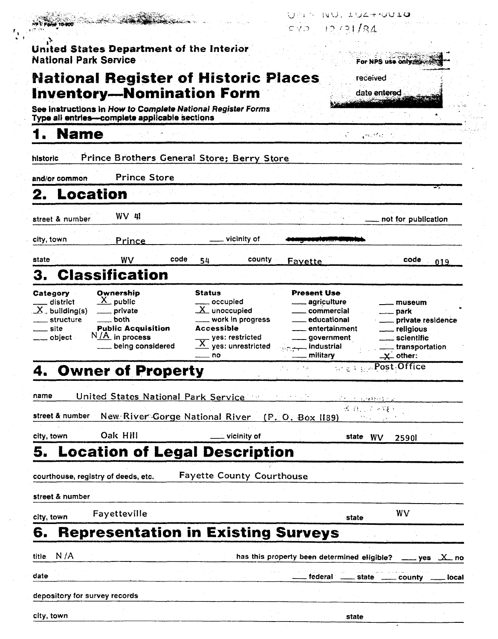|                                                                                         | <b>Inventory-Nomination Form</b>                                                                                | <b>National Register of Historic Places</b>                                                                                   |                                                                                                     | date entered                                                                        |                                                              |
|-----------------------------------------------------------------------------------------|-----------------------------------------------------------------------------------------------------------------|-------------------------------------------------------------------------------------------------------------------------------|-----------------------------------------------------------------------------------------------------|-------------------------------------------------------------------------------------|--------------------------------------------------------------|
|                                                                                         | See instructions in How to Complete National Register Forms<br>Type all entries-complete applicable sections    |                                                                                                                               |                                                                                                     |                                                                                     |                                                              |
| <b>Name</b>                                                                             |                                                                                                                 |                                                                                                                               |                                                                                                     | $\mathcal{O}(\mathcal{O}_\mathcal{A})$ . The $\mathcal{O}(\mathcal{O}_\mathcal{A})$ |                                                              |
| historic                                                                                |                                                                                                                 | Prince Brothers General Store; Berry Store                                                                                    |                                                                                                     |                                                                                     |                                                              |
| and/or common                                                                           | <b>Prince Store</b>                                                                                             |                                                                                                                               |                                                                                                     |                                                                                     |                                                              |
| Location<br>2.                                                                          |                                                                                                                 |                                                                                                                               |                                                                                                     |                                                                                     |                                                              |
| street & number                                                                         | $WV$ 41                                                                                                         |                                                                                                                               |                                                                                                     |                                                                                     | not for publication                                          |
| city, town                                                                              | Prince                                                                                                          | vicinity of                                                                                                                   |                                                                                                     |                                                                                     |                                                              |
| state                                                                                   | WV<br>code                                                                                                      | county<br>54                                                                                                                  | Favette                                                                                             |                                                                                     | code<br>019                                                  |
| З.                                                                                      | <b>Classification</b>                                                                                           |                                                                                                                               |                                                                                                     |                                                                                     |                                                              |
| Category<br>_ district<br>$X$ building(s)<br>structure<br>__ site<br><u>__</u> _ object | Ownership<br>$X$ public<br>private<br>both<br><b>Public Acquisition</b><br>$N/A$ in process<br>being considered | occupied<br>$\underline{X}$ unoccupied<br>work in progress<br><b>Accessible</b><br>yes: restricted<br>yes: unrestricted<br>no | . agriculture<br>commercial<br>educational<br>entertainment<br>government<br>industrial<br>military | <u>_</u> __ park<br>___ religious<br>____ scientific<br>$\mathbf{X}$ other:         | museum<br>__ private residence<br><u>_</u> __ transportation |
|                                                                                         | 4. Owner of Property                                                                                            |                                                                                                                               |                                                                                                     | $\approx \varepsilon + \frac{1}{2} \sqrt{2} \rho_{\rm{est}} \sqrt{\rm{Office}}$     |                                                              |
| name                                                                                    | United States National Park Service                                                                             |                                                                                                                               |                                                                                                     | 可不可行 的复数转换式                                                                         |                                                              |
| street & number                                                                         |                                                                                                                 | New River Gorge National River (P. O. Box 1189)                                                                               |                                                                                                     | 出 H. S. T. STEEL                                                                    |                                                              |
| city, town                                                                              | Oak Hill                                                                                                        | $\_$ vicinity of                                                                                                              |                                                                                                     | state WV                                                                            | 2590                                                         |
| 5.                                                                                      |                                                                                                                 | <b>Location of Legal Description</b>                                                                                          |                                                                                                     |                                                                                     |                                                              |
| courthouse, registry of deeds, etc.                                                     |                                                                                                                 | <b>Fayette County Courthouse</b>                                                                                              |                                                                                                     |                                                                                     |                                                              |
| street & number                                                                         |                                                                                                                 |                                                                                                                               |                                                                                                     |                                                                                     |                                                              |
|                                                                                         | Fayetteville                                                                                                    |                                                                                                                               |                                                                                                     | WV<br>state                                                                         |                                                              |
|                                                                                         |                                                                                                                 |                                                                                                                               |                                                                                                     |                                                                                     |                                                              |
| city, town<br>6.                                                                        | <b>Representation in Existing Surveys</b>                                                                       |                                                                                                                               |                                                                                                     |                                                                                     |                                                              |
| N/A<br>title                                                                            |                                                                                                                 |                                                                                                                               | has this property been determined eligible? ____ yes X_ no                                          |                                                                                     |                                                              |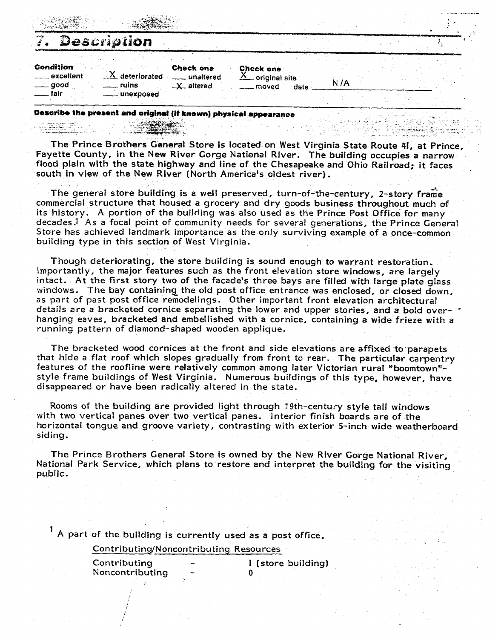|                                               | Description                      |                                                        |                                                        |      |      |  |  |  |
|-----------------------------------------------|----------------------------------|--------------------------------------------------------|--------------------------------------------------------|------|------|--|--|--|
| Condition<br><u>__</u> _excelient<br>___ good | $X$ deteriorated<br><b>ruins</b> | <b>Check one</b><br>unaltered<br>$-\mathsf{X}$ altered | <b>Check one</b><br>$\Delta$ original site<br>__ moved | date | N /A |  |  |  |
| __ fair                                       | unexposed                        |                                                        |                                                        |      |      |  |  |  |

Describe the present and original (if known) physical appearance

#### yniyasin k

The Prince Brothers **General** Store is located on West Virginia State Route 41, at Prince, Fayette County, in the **New** River Gorge National River. The building occupies a narrow flood plain with the state highway and tine of the Chesapeake and Ohio Railroad; it **faces**  south in view of the New River [North America's oldest river).

بأو يتوقيهن بني

The general store building is a well preserved, turn-of-the-century, 2-story frame commercial structure that housed a grocery and dry goods business throughout much of its history. **A** portion of the building was also used as the Prince Post Office for many decades.<sup>1</sup> As a focal point of community needs for several generations, the Prince General Store has achieved landmark importance as the only surviving example **of** a once-common building type in this section of West Virginia.

Though deteriorating, the store building is sound enough to warrant restoration, Importantly, the major features such as the front elevation store windows, are largely intact. At the first story two of the facade's three bays are filfed with large plate glass windows. The bay containing the old post office entrance was enclosed, or closed down. as part of past post office remodelings. Other important front elevation architectural details are a bracketed cornice separating the lower and upper stories, and a bold over- \* hanging eaves, bracketed and embellished with a cornice, containing a wide frieze with a running pattern of diamond-shaped wooden applique.

The bracketed wood cornices at the front and side elevations are affixed to parapets that hide a flat roof which slopes gradually from front to rear. The particular carpentry features of the roofline were relatively common among later Victorian rural "boomtown"style frame buildings of West Virginia. Numerous buildings of this type, however, have disappeared or have been radically altered in the state.

Rooms of the building are provided light through 19th-century style tall windows with two vertical panes over two vertical panes. Interior finish boards are of the horizontal tongue and groove variety, contrasting with exterior 5-inch wide weatherboard siding.

The Prince Brothers General Store is owned by the New River Gorge National River, National Park Service, which plans to restore and interpret the building for the visiting public.

**<sup>A</sup>**part **of** the building is currently used as a post office.

**Contributing/Noncontributing** Resources

| Contributing    |                          | I (store building) |
|-----------------|--------------------------|--------------------|
| Noncontributing | $\overline{\phantom{a}}$ |                    |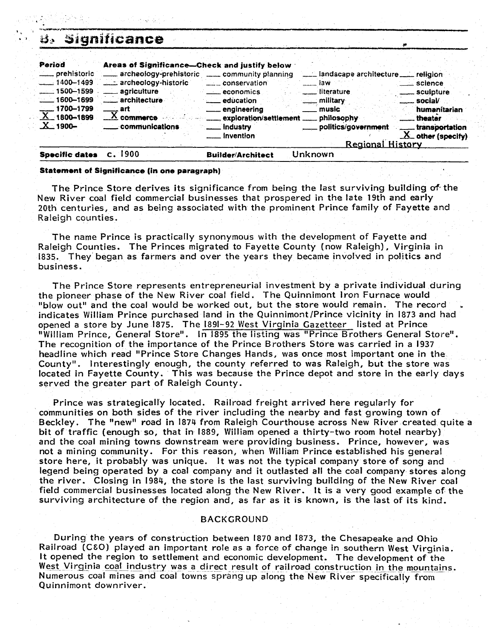| د گنا                                                                                                                                           | Significance                                                                                                                                                                                                        |                                                                                                                                                           |                                                                                                                                               |                                                                                                                  |
|-------------------------------------------------------------------------------------------------------------------------------------------------|---------------------------------------------------------------------------------------------------------------------------------------------------------------------------------------------------------------------|-----------------------------------------------------------------------------------------------------------------------------------------------------------|-----------------------------------------------------------------------------------------------------------------------------------------------|------------------------------------------------------------------------------------------------------------------|
| Period<br><u></u> prehistoric<br>$\frac{1}{2}$ 1400-1499<br>$-1500 - 1599$<br>$-1600 - 1699$<br>$-1700 - 1799$<br>$X_{-1800-1899}$<br>$X$ -1900 | Areas of Significance-Check and justify below<br>archeology-prehistoric community planning<br>archeology-historic<br>_____ agriculture<br>____ architecture<br>___ art<br>$\overline{X}$ commerce<br>communications | conservation<br>economics<br><u></u> education<br><u>_</u> engineering<br>exploration/settlement _____ philosophy<br><u>_</u> __ industry<br>__ invention | Landscape architecture Landinion<br>—— law ∶<br>____ literature<br><u>nilitary</u><br>music<br>politics/government<br><b>Regional History</b> | <u>__</u> __ science<br>sculpture<br>social<br>humanitarian<br>theatar.<br>transportation<br>$X$ other (specify) |
| <b>Specific dates</b>                                                                                                                           | $c.$ 1900                                                                                                                                                                                                           | <b>Builder/Architect</b>                                                                                                                                  | Unknown                                                                                                                                       |                                                                                                                  |

#### **Statement of Significance (in one paragraph)**

The Prince Store derives its significance from being the last surviving building **of-** the New River coal field commercial businesses that prospered in the late 19th and early 20th centuries, and as being associated with the prominent Prince family of Fayette and Raleigh counties.

The name Prince is practically synonymous with the development of Fayette and Raleigh Counties. The Princes migrated to Fayette County [now Raleigh), Virginia in 1835. They began as farmers and over the years they became involved in politics and business.

The Prince Store represents entrepreneurial investment by a private individual during the pioneer phase of the New River coal field. The Quinnimont lron Furnace would "blow out" and the coal would be worked out, but the store would remain. The record indicates William Prince purchased land in the Quinnimont/Prince vicinity in 1873 and had opened a store by June 1875. The 1891-92 West Virginia Gazetteer listed at Prince "William Prince. General Store". In 1895 the listinq was "Prince Brothers General Store". The recognition of the importance of the Prince Brothers Store was carried in a 1937 headline which read "Prince Store Changes Hands, was once most important one in the County". Interestingly enough, the county referred to was Raleigh, but the store was located in Fayette County. This was because the Prince depot and store in the early days served the greater part of Raleigh County.

Prince was strategically located. Railroad freight arrived here regularly for communities on both sides of the river including the nearby and fast growing town of Beckley. The "new" road in 1874 from Raleigh Courthouse across New River created quite a bit of traffic (enough so, that in 1889, William opened a thirty-two room hotel nearby] and the coal mining towns downstream were providing business. Prince, however, was not a mining community. For this reason, when William Prince established his general store here, it probably was unique. It was not the typical company store of song and legend being operated by a coal company and it outlasted all the coal company stores along the river. Closing in 1984, the store is the last surviving building of the New River coal field commercial businesses located along the New River. It is a very good example of the surviving architecture of the region and, as far as it is known, is the last of its kind.

### BACKGROUND

During the years of construction between 1870 and 1873, the Chesapeake and Ohio Railroad (CEO) played an important role as a force of change in southern West Virginia. It opened the region to settlement and economic development. The development of the West Virginia coal industry was a direct result of railroad construction in the mountains.<br>Numerous coal mines and coal towns sprang up along the New River specifically from Quinnimont downriver.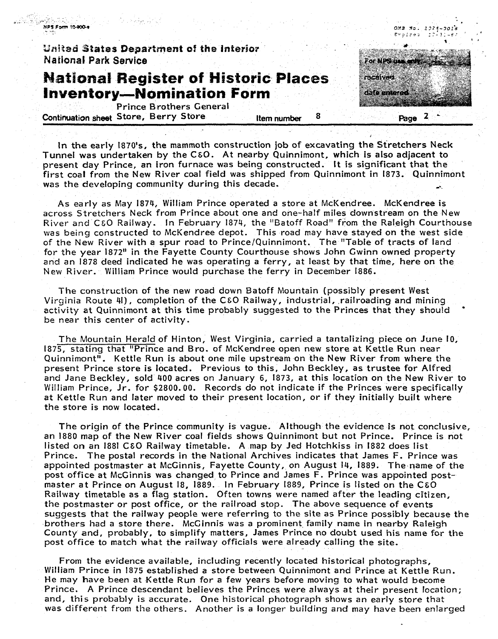

In the early 1870's, the mammoth construction job of excavating the Stretchers Neck Tunnel was undertaken by the C&O. At nearby Quinnimont, which is also adjacent to present day Prince, an iron furnace was being constructed. It is significant that **the**  first coal from the New River coal field was shipped from Quinnimont in 1873. Quinnimont was the developing community during this decade.

As early as May 1874, William Prince operated a store at McKendree. McKendree **is**  across Stretchers Neck from Prince about one **and** one-half miles downstream on the New River and **CEO** Railway. In February 1874, the "Batoff Road" from the Raleigh Courthouse was being constructed to McKendree depot. This road may have stayed on the west side of the New River with a spur road to Prince/Quinnimont. The "Table of tracts of land for the year 1872" in the Fayette County Courthouse shows John Cwinn owned property and an 1878 deed indicated he was operating a ferry, at least by that time, here on the New River. William Prince would purchase the ferry in December 1886.

The construction of the new road down Batoff Mountain (possibly present West Virginia Route 41), completion of the CEO Railway, industrial, railroading and mining activity at Quinnimont at this time probably suggested to the Princes that they should be near this center of activity.

The Mountain Herald of Hinton, West Virginia, carried a tantalizing piece on June 10, 1875, stating that "Prince and Bro. of McKendree open new store at Kettle Run near Quinnimont". Kettle Run is about one mile upstream on the New River from where the present Prince store is located. Previous to this, John Beckley, as trustee for Alfred and Jane Beckley, sold 400 acres on January 6, 1873, at this location on the **New** River to William Prince, Jr. for \$2800.00. Records do not indicate if the Princes were specifically at Kettle Run and later moved to their present location, or if they initially built where the store is now located.

The origin of the Prince community is vague. Although the evidence is not conclusive, an 1880 map of the New River coal fields shows Quinnimont but not Prince. Prince is not listed on an 1881 CEO Railway timetable. A map by Jed Hotchkiss in 1882 does list Prince. The postal records in the National Archives indicates that James **F.** Prince was appointed postmaster at McGinnis, Fayette County, on August **14,** 1889. The-name of the post office at McGinnis was changed to Prince and James **F.** Prince was appointed postmaster at Prince on August 18, 1889. In February 1889, Prince is listed on the **C&0**  Railway timetable as a flag station. Often towns were named after the leading citizen, the postmaster or post office, or the railroad stop. The above sequence of events suggests that the railway people were referring to the site **as** Prince possibly because the brothers had a store there. McCinnis was a prominent family name in nearby Raleigh County and, probably, to simplify matters, James Prince no doubt used his name for **the**  post office to match what the railway officials were already calling the site.

From the evidence available, including recently located historical photographs, William Prince in 1875 established a store between Quinnimont and Prince at Kettte Run. He may have been at Kettte Run for a few years before moving to what would become Prince. A Prince descendant believes the Princes were always at their present location; and, this probably is accurate. One historical photograph shows an early store that was different from the others. Another is a longer building and may have been enlarged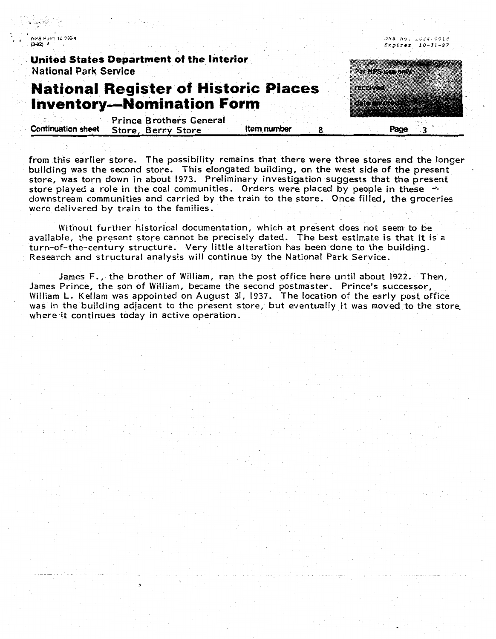NPS Form 10.900-1 **CRAZI** 

**United States Department of the interior National Park Service** 

## **National Register of Historic Piaces Inventory-Nomination Form**

Prince Brothers General **Continuation sheet** Store, Berry Store **Item number 8 8 Page 3** 

from this earlier store. The possibility remains that there were three stores and the longer building was the second store. This elongated building, on the west side of the present store, was torn down in about 1973. Preliminary investigation suggests that the present store played a role in the coal communities. Orders were placed by people in these  $\rightarrow$ downstream communities and carried by the train to the store. Once filled, the groceries were delivered by train to the families.

Without further historical documentation, which at present does not seem to be available, the present store cannot be precisely dated. The best estimate is that it is a turn-of-the-century structure. Very little alteration has been done to the building. Research and structural analysis will continue by the National Park Service.

James F., the brother of William, ran the post office here until about **1922.** Then, James Prince, the son of William, became the second postmaster. Prince's successor, William L. Kellam was appointed on August 31, 1937. The location of the early post office was in the building adjacent to the present store, but eventually it was moved to the store. where it continues today in active operation.

 $Expliers$   $10-31-37$ 

ONB No. 1024-5518

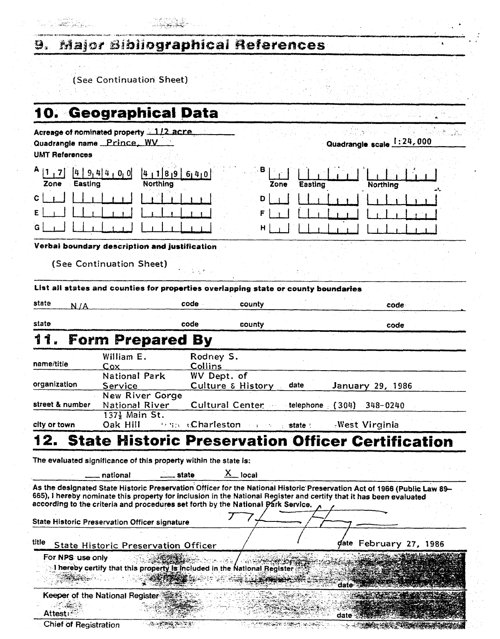#### **Major Bibliographical References** 9.

(See Continuation Sheet)

المرواج بكوار أوالعين

|  |  | 10. Geographical Data |  |  |  |  |
|--|--|-----------------------|--|--|--|--|
|  |  |                       |  |  |  |  |

| <b>UMT References</b> | Acreage of nominated property 112 acre.<br>Quadrangle name Prince WV                                                    |                                                 |                   |         | Quadrangle scale 1:24,000                |  |
|-----------------------|-------------------------------------------------------------------------------------------------------------------------|-------------------------------------------------|-------------------|---------|------------------------------------------|--|
| Easting<br>Zone       | 9.444<br>0, 0<br>Northing                                                                                               | 1 8 9 6 4 0                                     | в<br>Zone         | Easting | Northing                                 |  |
| с                     |                                                                                                                         |                                                 | D<br>н            |         |                                          |  |
|                       | Verbal boundary description and justification<br>(See Continuation Sheet)                                               |                                                 |                   |         |                                          |  |
|                       | List all states and counties for properties overlapping state or county boundaries                                      |                                                 |                   |         |                                          |  |
| state<br>N/A          |                                                                                                                         | code                                            | county            |         | code                                     |  |
| state                 |                                                                                                                         | code                                            | county            |         | code                                     |  |
| 11                    | <b>Form Prepared By</b>                                                                                                 |                                                 |                   |         |                                          |  |
| name/title            | William E.<br>Cox                                                                                                       | Rodney S.<br>Collins                            |                   |         |                                          |  |
| organization          | <b>National Park</b><br>Service                                                                                         | WV Dept. of                                     | Culture & History | date    | January 29, 1986                         |  |
| street & number       | New River Gorge<br>National River<br>137} Main St.                                                                      |                                                 |                   |         | Cultural Center telephone (304) 348-0240 |  |
| city or town          | Oak Hill                                                                                                                | <b><i>Fence Charleston Carry State Line</i></b> |                   |         | West Virginia                            |  |
|                       | <b>State Historic Preservation Officer Certification</b>                                                                |                                                 |                   |         |                                          |  |
|                       | The evaluated significance of this property within the state is:                                                        |                                                 |                   |         |                                          |  |
|                       | national                                                                                                                | state                                           | х.<br>_ local     |         |                                          |  |
|                       | As the designated State Historic Presentation Officer for the National Historic Presentation Act of 1066 (Dublin Law 80 |                                                 |                   |         |                                          |  |

As the designated State Historic Preservation Officer for the National Historic Preservation Act of 1966 **(Public Law 89**– **665),** 1 hereby nominate this property for inclusion in the according to the criteria and procedures set forth by the National Park Service.

٠,

State Historic Preservation Officer signature

title **State Historic Preservation Officer**  date February 27, 1986

For NPS use only ો જે તે I hereby certify that this property is included in the National Register date

Keeper of the National Register

 $-10.0000$ Attest:

Chief of Registration

٢

- 1940-1953 745

date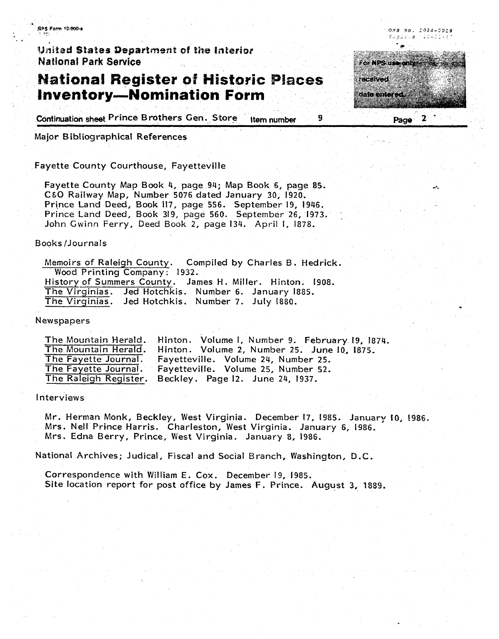NPS Form 10-900-a

United States Department of the Interior **National Park Service** 

## **National Register of Historic Places** \$;& **Inventory-Nomination Form**

Continuation sheet Prince Brothers Gen. Store Item number

Major **B** ibliographical References

Fayette County Courthouse, Fayetteville

Fayette County Map Book 4, page 94; Map Book 6, page 85. **CEO** Railway Map, Number 5076 dated January 30, 1920. Prince Land Deed, Book 117, page 556. September 19, 1946. Prince Land Deed, Book 319, page 560. September 26, 1973.  $\frac{1}{2}$ John Gwinn Ferry, Deed Book 2, page 134. April I, 1878.

#### Books /Journals

Memoirs of Raleigh County. Compiled **by** Charles B. Hedrick. **Wood** Printing Company: 1932. History of summers County. James H. Miller. Hinton. 1908. The Virginias. Jed Hotchkis. Number 6. January 1885. The Virginias. Jed Hotchkis. Number 7. July 1880.

Newspapers

The Mountain Herald. Hinton. Volume I, Number 9. February **19,** 1874. The Mountain Herald. Hinton. Volume 2, Number 25. June **10,** (875. Fayetteville. Volume 24, Number 25. The Fayette Journal. Fayetteville. Volume 25, Number 52.<br>The Raleigh Register. Beckley. Page 12. June 24, 1937. Beckley. Page 12. June 24, 1937.

Interviews

Mr. Herman Monk, Beckley, West Virginia. December 17, 1985. January **10,** L986. Mrs. Nell Prince Harris. Charleston, West Virginia. January 6, 1986. Mrs. Edna Berry, Prince, West Virginia. January 8, 1986.

National Archives; Judical, Fiscal and Social Branch, Washington, **D.C.** 

Correspondence with William E. Cox. December 19, 1985. Site location report for post office by James F. Prince. August 3, 1889.



q,

OMB No. 1924-0018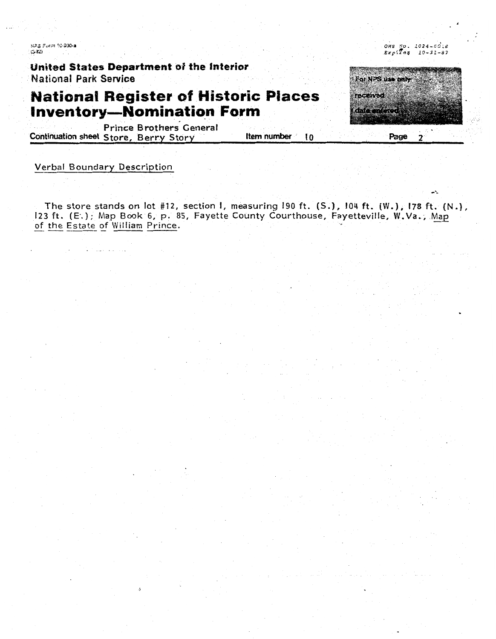NPS Form 10-900-a  $(3-82)$ 

**United States Department 0.8 the Interior**  National **Park Service** 

# **National Register of Historic Places Inventory-Nomination Form** . . , .

prince B **rothers.** General **Continuation sheet Store, Berry Story <b>Item number 10 Page** 2

### Verbal Boundary Description

**The** store stands **on** lot **#12,** section I. measuring 190 ft. **S.,** 104 **ft. (W.), 178 ft. (N.),**  123 ft. (E.; Map **Bock** 6, p. 85, Fayette County Courthouse, Fayetteville, **W.Va..** Ms The store stands on lot #12, s<br>23 ft. (E.); Map Book 6, p. 85<br>of the Estate of William Prince.

 $\mathbf{r}$ 

омв <u>м</u>о. 1024-сдів

 $Expi\overline{2}$ as 10-31-87

For NPS use only

received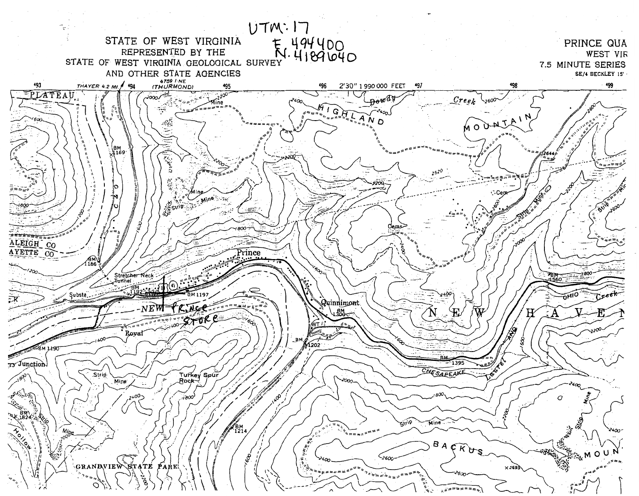